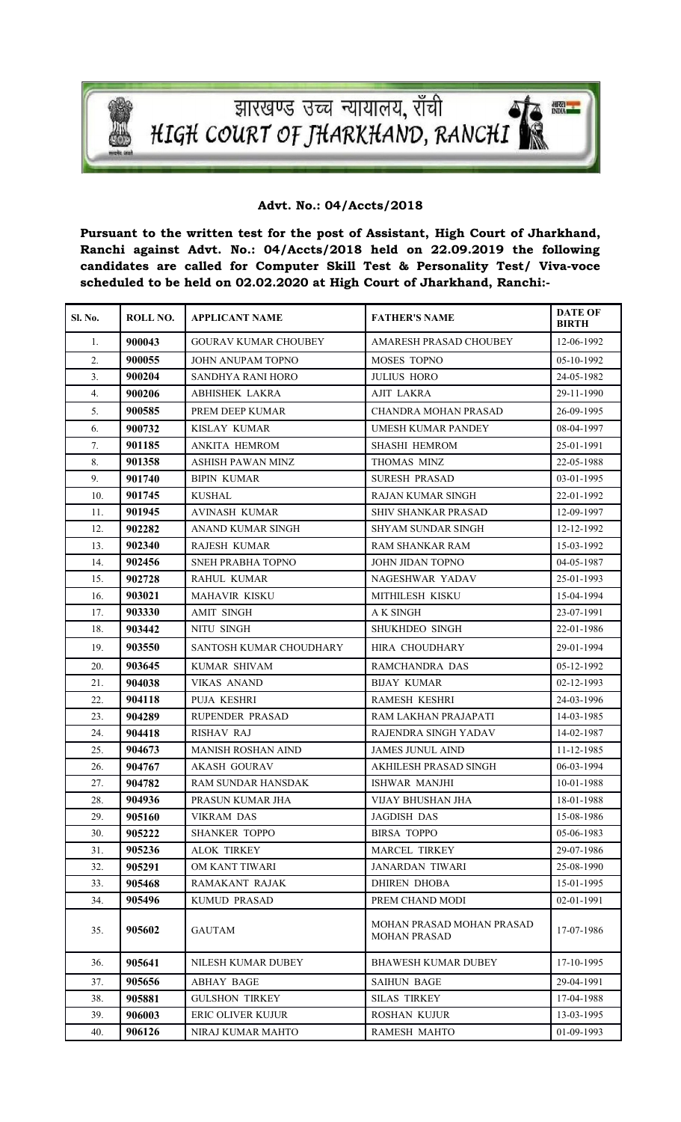

न्धारखण्ड उच्च न्यायालय, राँची<br>HIGH COURT OF JHARKHAND, RANCHI

## **Advt. No.: 04/Accts/2018**

**Pursuant to the written test for the post of Assistant, High Court of Jharkhand, Ranchi against Advt. No.: 04/Accts/2018 held on 22.09.2019 the following candidates are called for Computer Skill Test & Personality Test/ Viva-voce scheduled to be held on 02.02.2020 at High Court of Jharkhand, Ranchi:-**

| Sl. No. | ROLL NO. | <b>APPLICANT NAME</b>       | <b>FATHER'S NAME</b>                             | <b>DATE OF</b><br><b>BIRTH</b> |
|---------|----------|-----------------------------|--------------------------------------------------|--------------------------------|
| 1.      | 900043   | <b>GOURAV KUMAR CHOUBEY</b> | AMARESH PRASAD CHOUBEY                           | 12-06-1992                     |
| 2.      | 900055   | JOHN ANUPAM TOPNO           | MOSES TOPNO                                      | 05-10-1992                     |
| 3.      | 900204   | SANDHYA RANI HORO           | <b>JULIUS HORO</b>                               | 24-05-1982                     |
| 4.      | 900206   | <b>ABHISHEK LAKRA</b>       | <b>AJIT LAKRA</b>                                | 29-11-1990                     |
| 5.      | 900585   | PREM DEEP KUMAR             | <b>CHANDRA MOHAN PRASAD</b>                      | 26-09-1995                     |
| 6.      | 900732   | KISLAY KUMAR                | UMESH KUMAR PANDEY                               | 08-04-1997                     |
| 7.      | 901185   | ANKITA HEMROM               | <b>SHASHI HEMROM</b>                             | 25-01-1991                     |
| 8.      | 901358   | ASHISH PAWAN MINZ           | THOMAS MINZ                                      | 22-05-1988                     |
| 9.      | 901740   | <b>BIPIN KUMAR</b>          | <b>SURESH PRASAD</b>                             | 03-01-1995                     |
| 10.     | 901745   | KUSHAL                      | RAJAN KUMAR SINGH                                | 22-01-1992                     |
| 11.     | 901945   | <b>AVINASH KUMAR</b>        | SHIV SHANKAR PRASAD                              | 12-09-1997                     |
| 12.     | 902282   | ANAND KUMAR SINGH           | <b>SHYAM SUNDAR SINGH</b>                        | 12-12-1992                     |
| 13.     | 902340   | RAJESH KUMAR                | RAM SHANKAR RAM                                  | 15-03-1992                     |
| 14.     | 902456   | SNEH PRABHA TOPNO           | JOHN JIDAN TOPNO                                 | 04-05-1987                     |
| 15.     | 902728   | <b>RAHUL KUMAR</b>          | NAGESHWAR YADAV                                  | 25-01-1993                     |
| 16.     | 903021   | <b>MAHAVIR KISKU</b>        | MITHILESH KISKU                                  | 15-04-1994                     |
| 17.     | 903330   | <b>AMIT SINGH</b>           | A K SINGH                                        | 23-07-1991                     |
| 18.     | 903442   | NITU SINGH                  | <b>SHUKHDEO SINGH</b>                            | 22-01-1986                     |
| 19.     | 903550   | SANTOSH KUMAR CHOUDHARY     | HIRA CHOUDHARY                                   | 29-01-1994                     |
| 20.     | 903645   | KUMAR SHIVAM                | RAMCHANDRA DAS                                   | 05-12-1992                     |
| 21.     | 904038   | <b>VIKAS ANAND</b>          | <b>BIJAY KUMAR</b>                               | $02 - 12 - 1993$               |
| 22.     | 904118   | PUJA KESHRI                 | <b>RAMESH KESHRI</b>                             | 24-03-1996                     |
| 23.     | 904289   | RUPENDER PRASAD             | RAM LAKHAN PRAJAPATI                             | 14-03-1985                     |
| 24.     | 904418   | <b>RISHAV RAJ</b>           | RAJENDRA SINGH YADAV                             | 14-02-1987                     |
| 25.     | 904673   | <b>MANISH ROSHAN AIND</b>   | <b>JAMES JUNUL AIND</b>                          | 11-12-1985                     |
| 26.     | 904767   | <b>AKASH GOURAV</b>         | AKHILESH PRASAD SINGH                            | 06-03-1994                     |
| 27.     | 904782   | <b>RAM SUNDAR HANSDAK</b>   | ISHWAR MANJHI                                    | 10-01-1988                     |
| 28.     | 904936   | PRASUN KUMAR JHA            | VIJAY BHUSHAN JHA                                | 18-01-1988                     |
| 29.     | 905160   | VIKRAM DAS                  | JAGDISH DAS                                      | 15-08-1986                     |
| 30.     | 905222   | <b>SHANKER TOPPO</b>        | <b>BIRSA TOPPO</b>                               | 05-06-1983                     |
| 31.     | 905236   | <b>ALOK TIRKEY</b>          | MARCEL TIRKEY                                    | 29-07-1986                     |
| 32.     | 905291   | OM KANT TIWARI              | <b>JANARDAN TIWARI</b>                           | 25-08-1990                     |
| 33.     | 905468   | <b>RAMAKANT RAJAK</b>       | <b>DHIREN DHOBA</b>                              | 15-01-1995                     |
| 34.     | 905496   | KUMUD PRASAD                | PREM CHAND MODI                                  | 02-01-1991                     |
| 35.     | 905602   | <b>GAUTAM</b>               | MOHAN PRASAD MOHAN PRASAD<br><b>MOHAN PRASAD</b> | 17-07-1986                     |
| 36.     | 905641   | NILESH KUMAR DUBEY          | <b>BHAWESH KUMAR DUBEY</b>                       | 17-10-1995                     |
| 37.     | 905656   | <b>ABHAY BAGE</b>           | <b>SAIHUN BAGE</b>                               | 29-04-1991                     |
| 38.     | 905881   | <b>GULSHON TIRKEY</b>       | <b>SILAS TIRKEY</b>                              | 17-04-1988                     |
| 39.     | 906003   | <b>ERIC OLIVER KUJUR</b>    | <b>ROSHAN KUJUR</b>                              | 13-03-1995                     |
| 40.     | 906126   | NIRAJ KUMAR MAHTO           | RAMESH MAHTO                                     | 01-09-1993                     |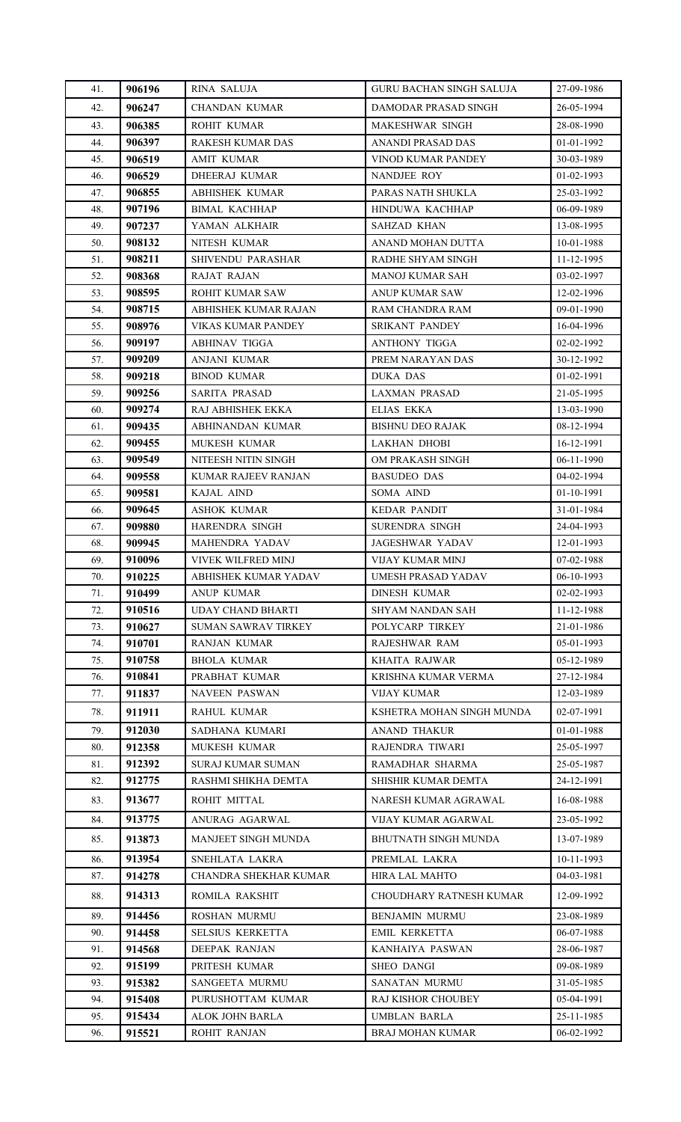| 41. | 906196 | RINA SALUJA                | <b>GURU BACHAN SINGH SALUJA</b> | 27-09-1986   |
|-----|--------|----------------------------|---------------------------------|--------------|
| 42. | 906247 | <b>CHANDAN KUMAR</b>       | DAMODAR PRASAD SINGH            | 26-05-1994   |
| 43. | 906385 | ROHIT KUMAR                | MAKESHWAR SINGH                 | 28-08-1990   |
| 44. | 906397 | RAKESH KUMAR DAS           | ANANDI PRASAD DAS               | 01-01-1992   |
| 45. | 906519 | AMIT KUMAR                 | VINOD KUMAR PANDEY              | 30-03-1989   |
| 46. | 906529 | DHEERAJ KUMAR              | NANDJEE ROY                     | 01-02-1993   |
| 47. | 906855 | <b>ABHISHEK KUMAR</b>      | PARAS NATH SHUKLA               | 25-03-1992   |
| 48. | 907196 | <b>BIMAL KACHHAP</b>       | HINDUWA KACHHAP                 | 06-09-1989   |
| 49. | 907237 | YAMAN ALKHAIR              | <b>SAHZAD KHAN</b>              | 13-08-1995   |
| 50. | 908132 | NITESH KUMAR               | ANAND MOHAN DUTTA               | 10-01-1988   |
| 51. | 908211 | SHIVENDU PARASHAR          | RADHE SHYAM SINGH               | 11-12-1995   |
| 52. | 908368 | <b>RAJAT RAJAN</b>         | MANOJ KUMAR SAH                 | 03-02-1997   |
| 53. | 908595 | ROHIT KUMAR SAW            | ANUP KUMAR SAW                  | 12-02-1996   |
| 54. | 908715 | ABHISHEK KUMAR RAJAN       | RAM CHANDRA RAM                 | 09-01-1990   |
| 55. | 908976 | <b>VIKAS KUMAR PANDEY</b>  | SRIKANT PANDEY                  | 16-04-1996   |
| 56. | 909197 | <b>ABHINAV TIGGA</b>       | <b>ANTHONY TIGGA</b>            | 02-02-1992   |
| 57. | 909209 | ANJANI KUMAR               | PREM NARAYAN DAS                | 30-12-1992   |
| 58. | 909218 | <b>BINOD KUMAR</b>         | <b>DUKA DAS</b>                 | 01-02-1991   |
| 59. | 909256 | <b>SARITA PRASAD</b>       | <b>LAXMAN PRASAD</b>            | 21-05-1995   |
| 60. | 909274 | RAJ ABHISHEK EKKA          | <b>ELIAS EKKA</b>               | 13-03-1990   |
| 61. | 909435 | ABHINANDAN KUMAR           | <b>BISHNU DEO RAJAK</b>         | 08-12-1994   |
| 62. | 909455 | MUKESH KUMAR               | <b>LAKHAN DHOBI</b>             | 16-12-1991   |
| 63. | 909549 | NITEESH NITIN SINGH        | OM PRAKASH SINGH                | 06-11-1990   |
| 64. | 909558 | KUMAR RAJEEV RANJAN        | <b>BASUDEO DAS</b>              | 04-02-1994   |
| 65. | 909581 | KAJAL AIND                 | SOMA AIND                       | 01-10-1991   |
| 66. | 909645 | <b>ASHOK KUMAR</b>         | <b>KEDAR PANDIT</b>             | 31-01-1984   |
| 67. | 909880 | HARENDRA SINGH             | SURENDRA SINGH                  | 24-04-1993   |
| 68. | 909945 | MAHENDRA YADAV             | <b>JAGESHWAR YADAV</b>          | 12-01-1993   |
| 69. | 910096 | VIVEK WILFRED MINJ         | <b>VIJAY KUMAR MINJ</b>         | 07-02-1988   |
| 70. | 910225 | ABHISHEK KUMAR YADAV       | UMESH PRASAD YADAV              | 06-10-1993   |
| 71. | 910499 | ANUP KUMAR                 | DINESH KUMAR                    | 02-02-1993   |
| 72. | 910516 | UDAY CHAND BHARTI          | SHYAM NANDAN SAH                | 11-12-1988   |
| 73. | 910627 | <b>SUMAN SAWRAV TIRKEY</b> | POLYCARP TIRKEY                 | 21-01-1986   |
| 74. | 910701 | RANJAN KUMAR               | RAJESHWAR RAM                   | 05-01-1993   |
| 75. | 910758 | BHOLA KUMAR                | KHAITA RAJWAR                   | 05-12-1989   |
| 76. | 910841 | PRABHAT KUMAR              | KRISHNA KUMAR VERMA             | 27-12-1984   |
| 77. | 911837 | NAVEEN PASWAN              | VIJAY KUMAR                     | 12-03-1989   |
| 78. | 911911 | <b>RAHUL KUMAR</b>         | KSHETRA MOHAN SINGH MUNDA       | 02-07-1991   |
| 79. | 912030 | SADHANA KUMARI             | <b>ANAND THAKUR</b>             | 01-01-1988   |
| 80. | 912358 | MUKESH KUMAR               | RAJENDRA TIWARI                 | 25-05-1997   |
| 81. | 912392 | SURAJ KUMAR SUMAN          | RAMADHAR SHARMA                 | 25-05-1987   |
| 82. | 912775 | RASHMI SHIKHA DEMTA        | SHISHIR KUMAR DEMTA             | 24-12-1991   |
| 83. | 913677 | ROHIT MITTAL               | NARESH KUMAR AGRAWAL            | 16-08-1988   |
| 84. | 913775 | ANURAG AGARWAL             | VIJAY KUMAR AGARWAL             | 23-05-1992   |
| 85. | 913873 | MANJEET SINGH MUNDA        | BHUTNATH SINGH MUNDA            | 13-07-1989   |
| 86. | 913954 | SNEHLATA LAKRA             | PREMLAL LAKRA                   | $10-11-1993$ |
| 87. | 914278 | CHANDRA SHEKHAR KUMAR      | HIRA LAL MAHTO                  | 04-03-1981   |
| 88. | 914313 | ROMILA RAKSHIT             | CHOUDHARY RATNESH KUMAR         | 12-09-1992   |
| 89. | 914456 | ROSHAN MURMU               | <b>BENJAMIN MURMU</b>           | 23-08-1989   |
| 90. | 914458 | <b>SELSIUS KERKETTA</b>    | <b>EMIL KERKETTA</b>            | 06-07-1988   |
| 91. | 914568 | DEEPAK RANJAN              | KANHAIYA PASWAN                 | 28-06-1987   |
| 92. | 915199 | PRITESH KUMAR              | <b>SHEO DANGI</b>               | 09-08-1989   |
| 93. | 915382 | SANGEETA MURMU             | SANATAN MURMU                   | 31-05-1985   |
| 94. | 915408 | PURUSHOTTAM KUMAR          | RAJ KISHOR CHOUBEY              | 05-04-1991   |
| 95. | 915434 | ALOK JOHN BARLA            | UMBLAN BARLA                    | 25-11-1985   |
| 96. | 915521 | ROHIT RANJAN               | <b>BRAJ MOHAN KUMAR</b>         | 06-02-1992   |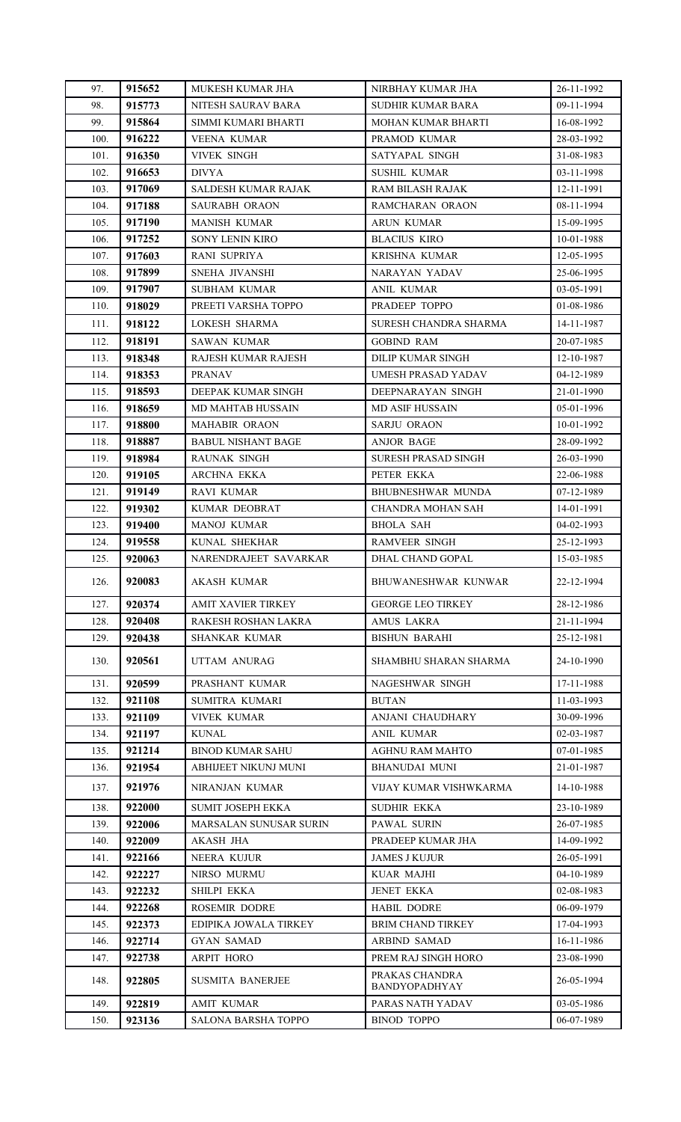| 97.  | 915652 | MUKESH KUMAR JHA              | NIRBHAY KUMAR JHA               | 26-11-1992 |
|------|--------|-------------------------------|---------------------------------|------------|
| 98.  | 915773 | NITESH SAURAV BARA            | SUDHIR KUMAR BARA               | 09-11-1994 |
| 99.  | 915864 | SIMMI KUMARI BHARTI           | MOHAN KUMAR BHARTI              | 16-08-1992 |
| 100. | 916222 | <b>VEENA KUMAR</b>            | PRAMOD KUMAR                    | 28-03-1992 |
| 101. | 916350 | <b>VIVEK SINGH</b>            | SATYAPAL SINGH                  | 31-08-1983 |
| 102. | 916653 | <b>DIVYA</b>                  | <b>SUSHIL KUMAR</b>             | 03-11-1998 |
| 103. | 917069 | SALDESH KUMAR RAJAK           | RAM BILASH RAJAK                | 12-11-1991 |
| 104. | 917188 | SAURABH ORAON                 | RAMCHARAN ORAON                 | 08-11-1994 |
| 105. | 917190 | <b>MANISH KUMAR</b>           | ARUN KUMAR                      | 15-09-1995 |
| 106. | 917252 | <b>SONY LENIN KIRO</b>        | <b>BLACIUS KIRO</b>             | 10-01-1988 |
| 107. | 917603 | RANI SUPRIYA                  | KRISHNA KUMAR                   | 12-05-1995 |
| 108. | 917899 | SNEHA JIVANSHI                | NARAYAN YADAV                   | 25-06-1995 |
| 109. | 917907 | SUBHAM KUMAR                  | ANIL KUMAR                      | 03-05-1991 |
| 110. | 918029 | PREETI VARSHA TOPPO           | PRADEEP TOPPO                   | 01-08-1986 |
| 111. | 918122 | LOKESH SHARMA                 | SURESH CHANDRA SHARMA           | 14-11-1987 |
| 112. | 918191 | SAWAN KUMAR                   | <b>GOBIND RAM</b>               | 20-07-1985 |
| 113. | 918348 | <b>RAJESH KUMAR RAJESH</b>    | <b>DILIP KUMAR SINGH</b>        | 12-10-1987 |
| 114. | 918353 | <b>PRANAV</b>                 | UMESH PRASAD YADAV              | 04-12-1989 |
| 115. | 918593 | DEEPAK KUMAR SINGH            | DEEPNARAYAN SINGH               | 21-01-1990 |
| 116. | 918659 | MD MAHTAB HUSSAIN             | MD ASIF HUSSAIN                 | 05-01-1996 |
| 117. | 918800 | <b>MAHABIR ORAON</b>          | <b>SARJU ORAON</b>              | 10-01-1992 |
| 118. | 918887 | <b>BABUL NISHANT BAGE</b>     | ANJOR BAGE                      | 28-09-1992 |
| 119. | 918984 | RAUNAK SINGH                  | <b>SURESH PRASAD SINGH</b>      | 26-03-1990 |
| 120. | 919105 | ARCHNA EKKA                   | PETER EKKA                      | 22-06-1988 |
| 121. | 919149 | <b>RAVI KUMAR</b>             | <b>BHUBNESHWAR MUNDA</b>        | 07-12-1989 |
| 122. | 919302 | KUMAR DEOBRAT                 | CHANDRA MOHAN SAH               | 14-01-1991 |
| 123. | 919400 | <b>MANOJ KUMAR</b>            | <b>BHOLA SAH</b>                | 04-02-1993 |
| 124. | 919558 | KUNAL SHEKHAR                 | <b>RAMVEER SINGH</b>            | 25-12-1993 |
| 125. | 920063 | NARENDRAJEET SAVARKAR         | DHAL CHAND GOPAL                | 15-03-1985 |
| 126. | 920083 | <b>AKASH KUMAR</b>            | BHUWANESHWAR KUNWAR             | 22-12-1994 |
| 127. | 920374 | <b>AMIT XAVIER TIRKEY</b>     | <b>GEORGE LEO TIRKEY</b>        | 28-12-1986 |
| 128. | 920408 | RAKESH ROSHAN LAKRA           | AMUS LAKRA                      | 21-11-1994 |
| 129. | 920438 | <b>SHANKAR KUMAR</b>          | <b>BISHUN BARAHI</b>            | 25-12-1981 |
| 130. | 920561 | UTTAM ANURAG                  | SHAMBHU SHARAN SHARMA           | 24-10-1990 |
| 131. | 920599 | PRASHANT KUMAR                | NAGESHWAR SINGH                 | 17-11-1988 |
| 132. | 921108 | SUMITRA KUMARI                | <b>BUTAN</b>                    | 11-03-1993 |
| 133. | 921109 | <b>VIVEK KUMAR</b>            | ANJANI CHAUDHARY                | 30-09-1996 |
| 134. | 921197 | <b>KUNAL</b>                  | ANIL KUMAR                      | 02-03-1987 |
| 135. | 921214 | <b>BINOD KUMAR SAHU</b>       | <b>AGHNU RAM MAHTO</b>          | 07-01-1985 |
| 136. | 921954 | ABHIJEET NIKUNJ MUNI          | BHANUDAI MUNI                   | 21-01-1987 |
| 137. | 921976 | NIRANJAN KUMAR                | VIJAY KUMAR VISHWKARMA          | 14-10-1988 |
| 138. | 922000 | <b>SUMIT JOSEPH EKKA</b>      | <b>SUDHIR EKKA</b>              | 23-10-1989 |
| 139. | 922006 | <b>MARSALAN SUNUSAR SURIN</b> | PAWAL SURIN                     | 26-07-1985 |
| 140. | 922009 | <b>AKASH JHA</b>              | PRADEEP KUMAR JHA               | 14-09-1992 |
| 141. | 922166 | <b>NEERA KUJUR</b>            | <b>JAMES J KUJUR</b>            | 26-05-1991 |
| 142. | 922227 | NIRSO MURMU                   | <b>KUAR MAJHI</b>               | 04-10-1989 |
| 143. | 922232 | <b>SHILPI EKKA</b>            | <b>JENET EKKA</b>               | 02-08-1983 |
| 144. | 922268 | <b>ROSEMIR DODRE</b>          | <b>HABIL DODRE</b>              | 06-09-1979 |
| 145. | 922373 | EDIPIKA JOWALA TIRKEY         | <b>BRIM CHAND TIRKEY</b>        | 17-04-1993 |
| 146. | 922714 | GYAN SAMAD                    | <b>ARBIND SAMAD</b>             | 16-11-1986 |
| 147. | 922738 | ARPIT HORO                    | PREM RAJ SINGH HORO             | 23-08-1990 |
| 148. | 922805 | <b>SUSMITA BANERJEE</b>       | PRAKAS CHANDRA<br>BANDYOPADHYAY | 26-05-1994 |
| 149. | 922819 | <b>AMIT KUMAR</b>             | PARAS NATH YADAV                | 03-05-1986 |
| 150. | 923136 | <b>SALONA BARSHA TOPPO</b>    | <b>BINOD TOPPO</b>              | 06-07-1989 |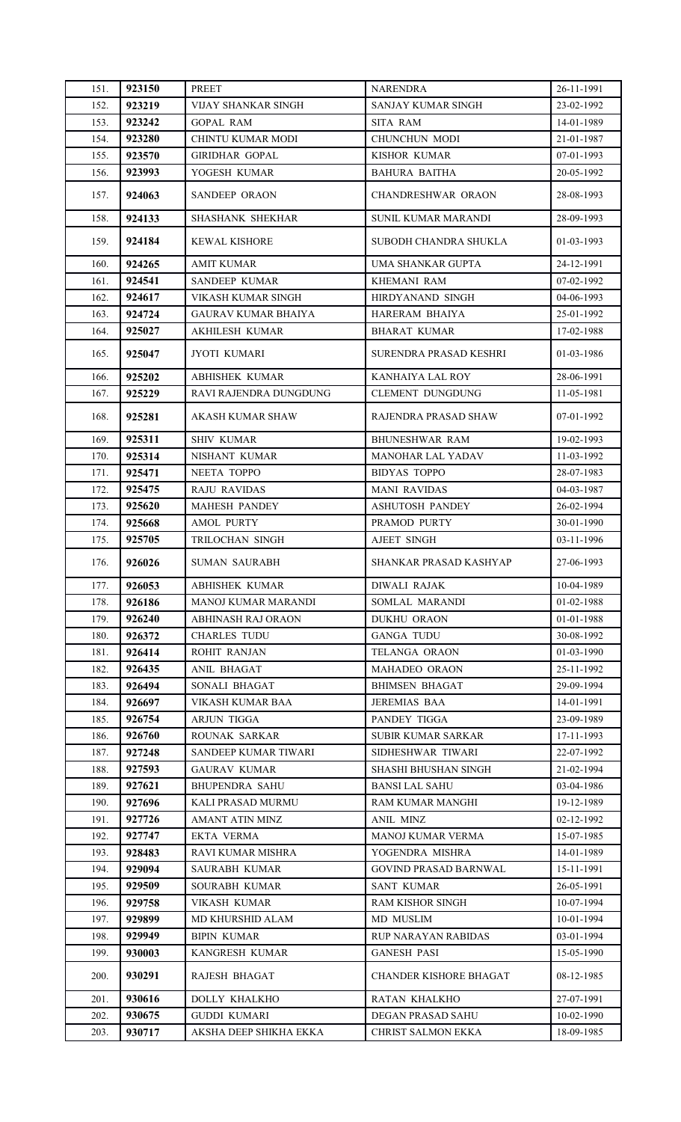| 151.        | 923150 | <b>PREET</b>               | <b>NARENDRA</b>           | 26-11-1991 |
|-------------|--------|----------------------------|---------------------------|------------|
| 152.        | 923219 | VIJAY SHANKAR SINGH        | SANJAY KUMAR SINGH        | 23-02-1992 |
| 153.        | 923242 | <b>GOPAL RAM</b>           | <b>SITA RAM</b>           | 14-01-1989 |
| 154.        | 923280 | CHINTU KUMAR MODI          | CHUNCHUN MODI             | 21-01-1987 |
| 155.        | 923570 | <b>GIRIDHAR GOPAL</b>      | KISHOR KUMAR              | 07-01-1993 |
| 156.        | 923993 | YOGESH KUMAR               | <b>BAHURA BAITHA</b>      | 20-05-1992 |
| 157.        | 924063 | <b>SANDEEP ORAON</b>       | CHANDRESHWAR ORAON        | 28-08-1993 |
| 158.        | 924133 | SHASHANK SHEKHAR           | SUNIL KUMAR MARANDI       | 28-09-1993 |
| 159.        | 924184 | <b>KEWAL KISHORE</b>       | SUBODH CHANDRA SHUKLA     | 01-03-1993 |
| 160.        | 924265 | <b>AMIT KUMAR</b>          | UMA SHANKAR GUPTA         | 24-12-1991 |
| 161.        | 924541 | <b>SANDEEP KUMAR</b>       | KHEMANI RAM               | 07-02-1992 |
| 162.        | 924617 | VIKASH KUMAR SINGH         | HIRDYANAND SINGH          | 04-06-1993 |
| 163.        | 924724 | GAURAV KUMAR BHAIYA        | HARERAM BHAIYA            | 25-01-1992 |
| 164.        | 925027 | <b>AKHILESH KUMAR</b>      | <b>BHARAT KUMAR</b>       | 17-02-1988 |
| 165.        | 925047 | JYOTI KUMARI               | SURENDRA PRASAD KESHRI    | 01-03-1986 |
| 166.        | 925202 | <b>ABHISHEK KUMAR</b>      | KANHAIYA LAL ROY          | 28-06-1991 |
| 167.        | 925229 | RAVI RAJENDRA DUNGDUNG     | <b>CLEMENT DUNGDUNG</b>   | 11-05-1981 |
| 168.        | 925281 | AKASH KUMAR SHAW           | RAJENDRA PRASAD SHAW      | 07-01-1992 |
| 169.        | 925311 | <b>SHIV KUMAR</b>          | <b>BHUNESHWAR RAM</b>     | 19-02-1993 |
| 170.        | 925314 | NISHANT KUMAR              | <b>MANOHAR LAL YADAV</b>  | 11-03-1992 |
| 171.        | 925471 | NEETA TOPPO                | <b>BIDYAS TOPPO</b>       | 28-07-1983 |
| 172.        | 925475 | <b>RAJU RAVIDAS</b>        | <b>MANI RAVIDAS</b>       | 04-03-1987 |
| 173.        | 925620 | <b>MAHESH PANDEY</b>       | <b>ASHUTOSH PANDEY</b>    | 26-02-1994 |
| 174.        | 925668 | AMOL PURTY                 | PRAMOD PURTY              | 30-01-1990 |
| 175.        | 925705 | TRILOCHAN SINGH            | AJEET SINGH               | 03-11-1996 |
| 176.        | 926026 | <b>SUMAN SAURABH</b>       | SHANKAR PRASAD KASHYAP    | 27-06-1993 |
| 177.        | 926053 | <b>ABHISHEK KUMAR</b>      | <b>DIWALI RAJAK</b>       | 10-04-1989 |
| 178.        | 926186 | <b>MANOJ KUMAR MARANDI</b> | SOMLAL MARANDI            | 01-02-1988 |
| 179.        | 926240 | ABHINASH RAJ ORAON         | DUKHU ORAON               | 01-01-1988 |
| 180.        | 926372 | <b>CHARLES TUDU</b>        | <b>GANGA TUDU</b>         | 30-08-1992 |
| 181.        | 926414 | ROHIT RANJAN               | TELANGA ORAON             | 01-03-1990 |
| 182.        | 926435 | ANIL BHAGAT                | MAHADEO ORAON             | 25-11-1992 |
| 183.        | 926494 | SONALI BHAGAT              | <b>BHIMSEN BHAGAT</b>     | 29-09-1994 |
| 184.        | 926697 | VIKASH KUMAR BAA           | JEREMIAS BAA              | 14-01-1991 |
| 185.        | 926754 | <b>ARJUN TIGGA</b>         | PANDEY TIGGA              | 23-09-1989 |
| 186.        | 926760 | ROUNAK SARKAR              | SUBIR KUMAR SARKAR        | 17-11-1993 |
| 187.        | 927248 | SANDEEP KUMAR TIWARI       | SIDHESHWAR TIWARI         | 22-07-1992 |
| 188.        | 927593 | <b>GAURAV KUMAR</b>        | SHASHI BHUSHAN SINGH      | 21-02-1994 |
| 189.        | 927621 | <b>BHUPENDRA SAHU</b>      | <b>BANSI LAL SAHU</b>     | 03-04-1986 |
| 190.        | 927696 | KALI PRASAD MURMU          | RAM KUMAR MANGHI          | 19-12-1989 |
| 191.        | 927726 | AMANT ATIN MINZ            | ANIL MINZ                 | 02-12-1992 |
| 192.        | 927747 | EKTA VERMA                 | MANOJ KUMAR VERMA         | 15-07-1985 |
| 193.        | 928483 | RAVI KUMAR MISHRA          | YOGENDRA MISHRA           | 14-01-1989 |
| 194.        | 929094 | SAURABH KUMAR              | GOVIND PRASAD BARNWAL     | 15-11-1991 |
| 195.        | 929509 | SOURABH KUMAR              | SANT KUMAR                | 26-05-1991 |
| 196.        | 929758 | VIKASH KUMAR               | RAM KISHOR SINGH          | 10-07-1994 |
| 197.        | 929899 | MD KHURSHID ALAM           | MD MUSLIM                 | 10-01-1994 |
| 198.        | 929949 | <b>BIPIN KUMAR</b>         | RUP NARAYAN RABIDAS       | 03-01-1994 |
| 199.        | 930003 | KANGRESH KUMAR             | <b>GANESH PASI</b>        | 15-05-1990 |
| <b>200.</b> | 930291 | RAJESH BHAGAT              | CHANDER KISHORE BHAGAT    | 08-12-1985 |
| 201.        | 930616 | DOLLY KHALKHO              | RATAN KHALKHO             | 27-07-1991 |
| 202.        | 930675 | <b>GUDDI KUMARI</b>        | DEGAN PRASAD SAHU         | 10-02-1990 |
| 203.        | 930717 | AKSHA DEEP SHIKHA EKKA     | <b>CHRIST SALMON EKKA</b> | 18-09-1985 |